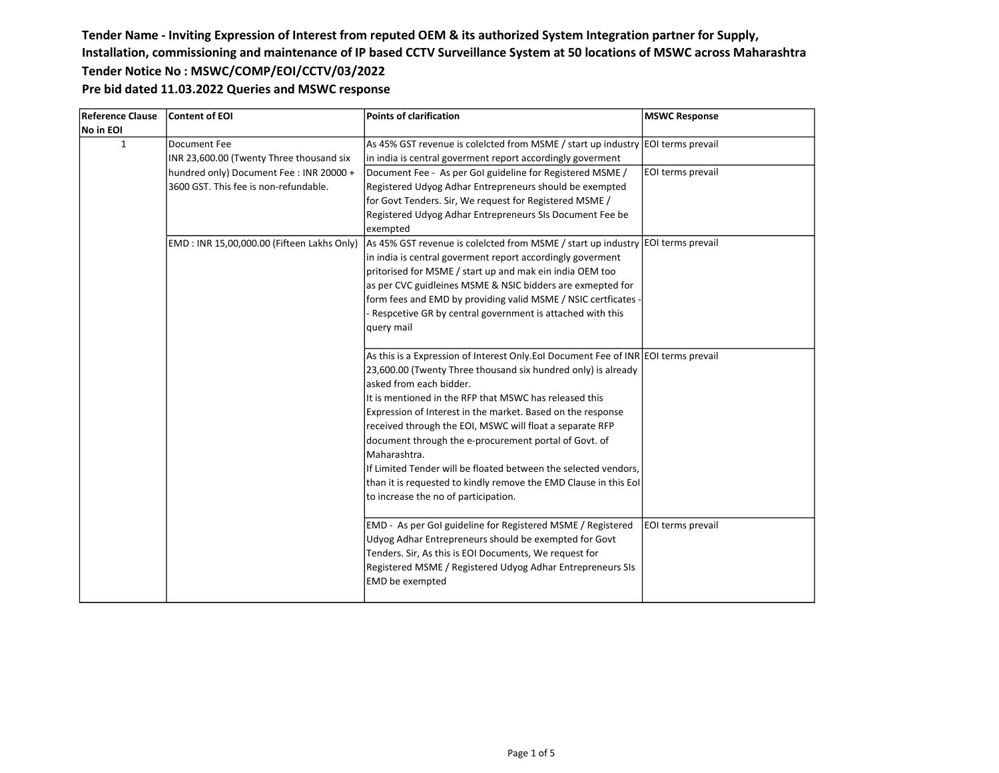| Reference Clause | <b>Content of EOI</b>                      | Points of clarification                                                             | <b>MSWC Response</b> |
|------------------|--------------------------------------------|-------------------------------------------------------------------------------------|----------------------|
| No in EOI        |                                            |                                                                                     |                      |
| 1                | Document Fee                               | As 45% GST revenue is coleicted from MSME / start up industry EOI terms prevail     |                      |
|                  | INR 23,600.00 (Twenty Three thousand six   | in india is central goverment report accordingly goverment                          |                      |
|                  | hundred only) Document Fee: INR 20000 +    | Document Fee - As per GoI guideline for Registered MSME /                           | EOI terms prevail    |
|                  | 3600 GST. This fee is non-refundable.      | Registered Udyog Adhar Entrepreneurs should be exempted                             |                      |
|                  |                                            | for Govt Tenders. Sir, We request for Registered MSME /                             |                      |
|                  |                                            | Registered Udyog Adhar Entrepreneurs SIs Document Fee be                            |                      |
|                  |                                            | lexempted                                                                           |                      |
|                  | EMD: INR 15,00,000.00 (Fifteen Lakhs Only) | As 45% GST revenue is coleicted from MSME / start up industry EOI terms prevail     |                      |
|                  |                                            | in india is central goverment report accordingly goverment                          |                      |
|                  |                                            | pritorised for MSME / start up and mak ein india OEM too                            |                      |
|                  |                                            | as per CVC guidleines MSME & NSIC bidders are exmepted for                          |                      |
|                  |                                            | form fees and EMD by providing valid MSME / NSIC certficates -                      |                      |
|                  |                                            | Respcetive GR by central government is attached with this                           |                      |
|                  |                                            | query mail                                                                          |                      |
|                  |                                            |                                                                                     |                      |
|                  |                                            | As this is a Expression of Interest Only. EoI Document Fee of INR EOI terms prevail |                      |
|                  |                                            | 23,600.00 (Twenty Three thousand six hundred only) is already                       |                      |
|                  |                                            | lasked from each bidder.                                                            |                      |
|                  |                                            | It is mentioned in the RFP that MSWC has released this                              |                      |
|                  |                                            | Expression of Interest in the market. Based on the response                         |                      |
|                  |                                            | received through the EOI, MSWC will float a separate RFP                            |                      |
|                  |                                            | document through the e-procurement portal of Govt. of                               |                      |
|                  |                                            | l Maharashtra.                                                                      |                      |
|                  |                                            | If Limited Tender will be floated between the selected vendors,                     |                      |
|                  |                                            | than it is requested to kindly remove the EMD Clause in this Eol                    |                      |
|                  |                                            | to increase the no of participation.                                                |                      |
|                  |                                            |                                                                                     |                      |
|                  |                                            | EMD - As per GoI guideline for Registered MSME / Registered                         | EOI terms prevail    |
|                  |                                            | Udyog Adhar Entrepreneurs should be exempted for Govt                               |                      |
|                  |                                            | Tenders. Sir, As this is EOI Documents, We request for                              |                      |
|                  |                                            | Registered MSME / Registered Udyog Adhar Entrepreneurs SIs                          |                      |
|                  |                                            | <b>EMD</b> be exempted                                                              |                      |
|                  |                                            |                                                                                     |                      |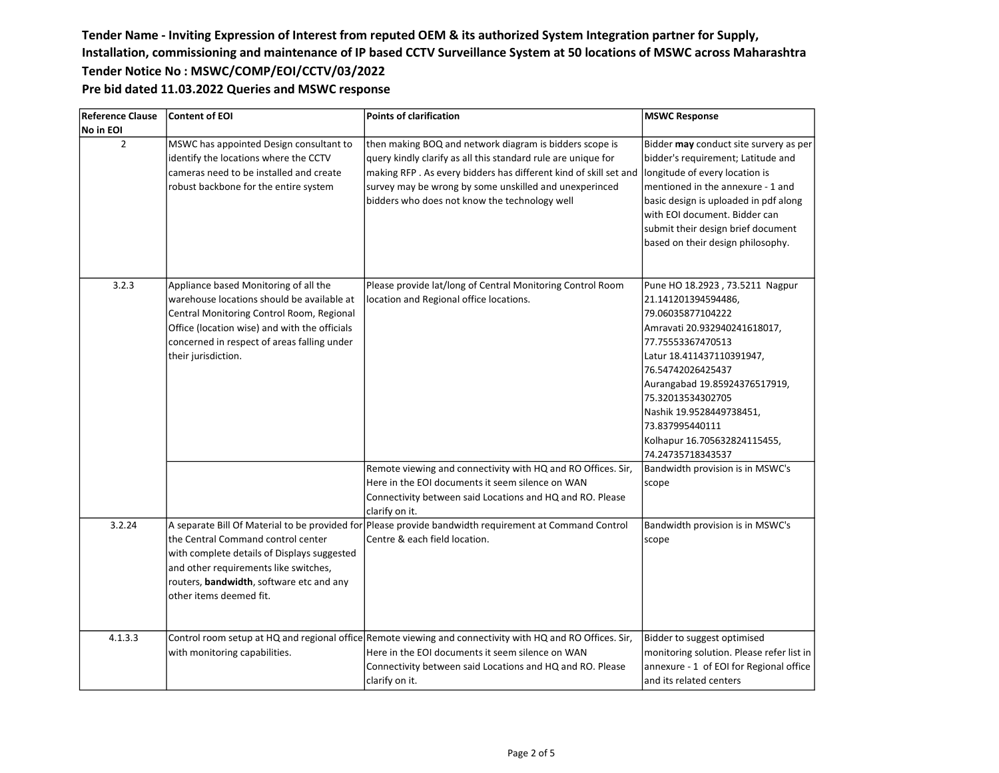| <b>Reference Clause</b> | <b>Content of EOI</b>                                                                                                                                                                                                                                   | <b>Points of clarification</b>                                                                                                                                                                                                                                                                          | <b>MSWC Response</b>                                                                                                                                                                                                                                                                                                                         |
|-------------------------|---------------------------------------------------------------------------------------------------------------------------------------------------------------------------------------------------------------------------------------------------------|---------------------------------------------------------------------------------------------------------------------------------------------------------------------------------------------------------------------------------------------------------------------------------------------------------|----------------------------------------------------------------------------------------------------------------------------------------------------------------------------------------------------------------------------------------------------------------------------------------------------------------------------------------------|
| No in EOI               |                                                                                                                                                                                                                                                         |                                                                                                                                                                                                                                                                                                         |                                                                                                                                                                                                                                                                                                                                              |
| $\overline{2}$          | MSWC has appointed Design consultant to<br>identify the locations where the CCTV<br>cameras need to be installed and create<br>robust backbone for the entire system                                                                                    | then making BOQ and network diagram is bidders scope is<br>query kindly clarify as all this standard rule are unique for<br>making RFP. As every bidders has different kind of skill set and<br>survey may be wrong by some unskilled and unexperinced<br>bidders who does not know the technology well | Bidder may conduct site survery as per<br>bidder's requirement; Latitude and<br>longitude of every location is<br>mentioned in the annexure - 1 and<br>basic design is uploaded in pdf along<br>with EOI document. Bidder can<br>submit their design brief document<br>based on their design philosophy.                                     |
| 3.2.3                   | Appliance based Monitoring of all the<br>warehouse locations should be available at<br>Central Monitoring Control Room, Regional<br>Office (location wise) and with the officials<br>concerned in respect of areas falling under<br>their jurisdiction. | Please provide lat/long of Central Monitoring Control Room<br>location and Regional office locations.                                                                                                                                                                                                   | Pune HO 18.2923, 73.5211 Nagpur<br>21.141201394594486,<br>79.06035877104222<br>Amravati 20.932940241618017,<br>77.75553367470513<br>Latur 18.411437110391947,<br>76.54742026425437<br>Aurangabad 19.85924376517919,<br>75.32013534302705<br>Nashik 19.9528449738451,<br>73.837995440111<br>Kolhapur 16.705632824115455,<br>74.24735718343537 |
|                         |                                                                                                                                                                                                                                                         | Remote viewing and connectivity with HQ and RO Offices. Sir,<br>Here in the EOI documents it seem silence on WAN<br>Connectivity between said Locations and HQ and RO. Please<br>clarify on it.                                                                                                         | Bandwidth provision is in MSWC's<br>scope                                                                                                                                                                                                                                                                                                    |
| 3.2.24                  | the Central Command control center<br>with complete details of Displays suggested<br>and other requirements like switches,<br>routers, bandwidth, software etc and any<br>other items deemed fit.                                                       | A separate Bill Of Material to be provided for Please provide bandwidth requirement at Command Control<br>Centre & each field location.                                                                                                                                                                 | Bandwidth provision is in MSWC's<br>scope                                                                                                                                                                                                                                                                                                    |
| 4.1.3.3                 | with monitoring capabilities.                                                                                                                                                                                                                           | Control room setup at HQ and regional office Remote viewing and connectivity with HQ and RO Offices. Sir,<br>Here in the EOI documents it seem silence on WAN<br>Connectivity between said Locations and HQ and RO. Please<br>clarify on it.                                                            | Bidder to suggest optimised<br>monitoring solution. Please refer list in<br>annexure - 1 of EOI for Regional office<br>and its related centers                                                                                                                                                                                               |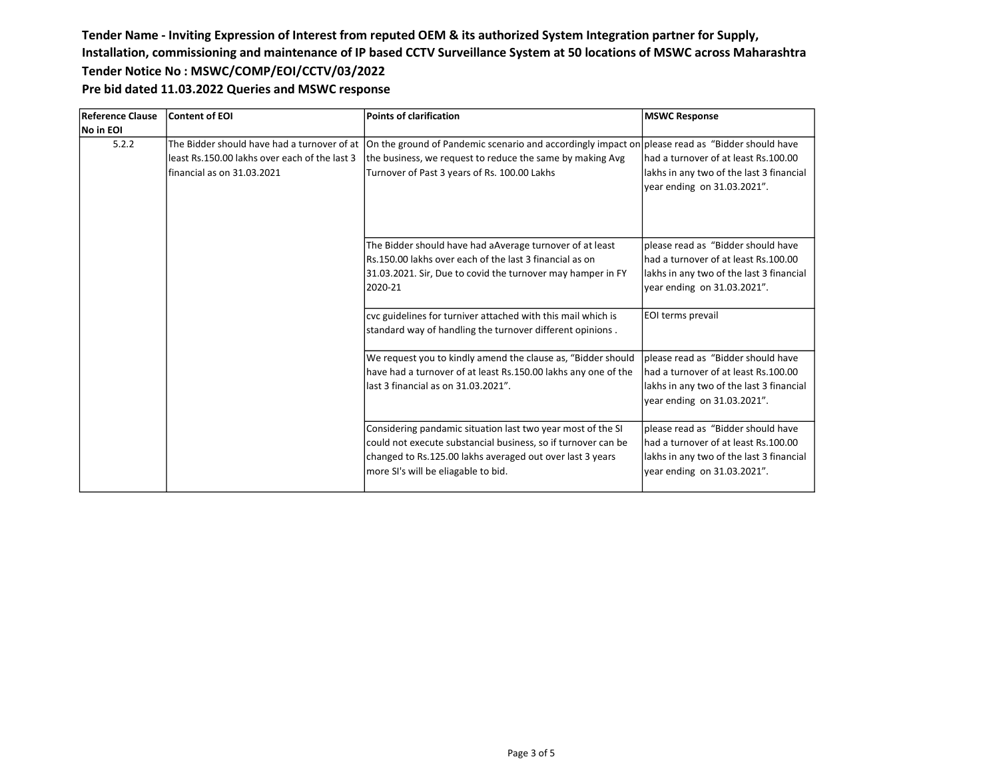| Reference Clause | <b>Content of EOI</b>                                                       | <b>Points of clarification</b>                                                                                                                                                                                                                            | <b>MSWC Response</b>                                                                                                                                  |
|------------------|-----------------------------------------------------------------------------|-----------------------------------------------------------------------------------------------------------------------------------------------------------------------------------------------------------------------------------------------------------|-------------------------------------------------------------------------------------------------------------------------------------------------------|
| No in EOI        |                                                                             |                                                                                                                                                                                                                                                           |                                                                                                                                                       |
| 5.2.2            | least Rs.150.00 lakhs over each of the last 3<br>financial as on 31.03.2021 | The Bidder should have had a turnover of at  On the ground of Pandemic scenario and accordingly impact on please read as "Bidder should have<br>the business, we request to reduce the same by making Avg<br>Turnover of Past 3 years of Rs. 100.00 Lakhs | had a turnover of at least Rs.100.00<br>lakhs in any two of the last 3 financial<br>year ending on 31.03.2021".                                       |
|                  |                                                                             | The Bidder should have had aAverage turnover of at least<br>Rs.150.00 lakhs over each of the last 3 financial as on<br>31.03.2021. Sir, Due to covid the turnover may hamper in FY<br>2020-21                                                             | please read as "Bidder should have<br>had a turnover of at least Rs.100.00<br>lakhs in any two of the last 3 financial<br>year ending on 31.03.2021". |
|                  |                                                                             | cvc guidelines for turniver attached with this mail which is<br>standard way of handling the turnover different opinions.                                                                                                                                 | EOI terms prevail                                                                                                                                     |
|                  |                                                                             | We request you to kindly amend the clause as, "Bidder should<br>have had a turnover of at least Rs.150.00 lakhs any one of the<br>llast 3 financial as on 31.03.2021".                                                                                    | please read as "Bidder should have<br>had a turnover of at least Rs.100.00<br>lakhs in any two of the last 3 financial<br>year ending on 31.03.2021". |
|                  |                                                                             | Considering pandamic situation last two year most of the SI<br>could not execute substancial business, so if turnover can be<br>changed to Rs.125.00 lakhs averaged out over last 3 years<br>more SI's will be eliagable to bid.                          | please read as "Bidder should have<br>had a turnover of at least Rs.100.00<br>lakhs in any two of the last 3 financial<br>year ending on 31.03.2021". |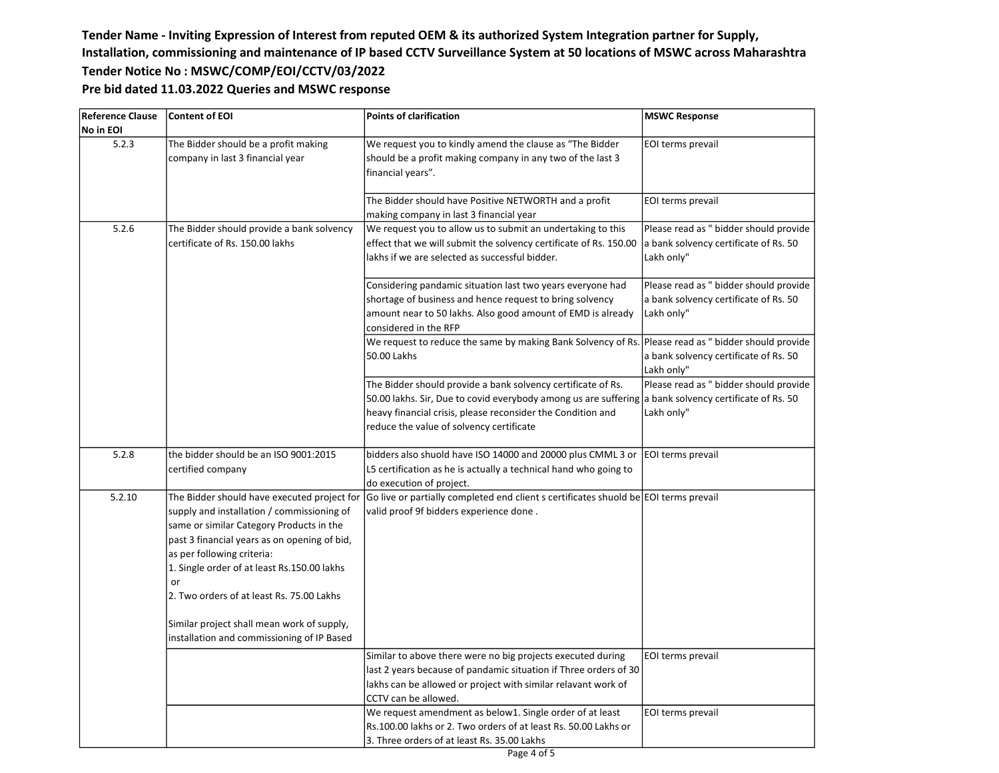| <b>Reference Clause</b> | Content of EOI                                                                                                                                                                                                                                                                                                                                                                                                    | <b>Points of clarification</b>                                                                                                                                                                                                                                                   | <b>MSWC Response</b>                                                                          |
|-------------------------|-------------------------------------------------------------------------------------------------------------------------------------------------------------------------------------------------------------------------------------------------------------------------------------------------------------------------------------------------------------------------------------------------------------------|----------------------------------------------------------------------------------------------------------------------------------------------------------------------------------------------------------------------------------------------------------------------------------|-----------------------------------------------------------------------------------------------|
| No in EOI               |                                                                                                                                                                                                                                                                                                                                                                                                                   |                                                                                                                                                                                                                                                                                  |                                                                                               |
| 5.2.3                   | The Bidder should be a profit making<br>company in last 3 financial year                                                                                                                                                                                                                                                                                                                                          | We request you to kindly amend the clause as "The Bidder<br>should be a profit making company in any two of the last 3<br>financial years".                                                                                                                                      | EOI terms prevail                                                                             |
|                         |                                                                                                                                                                                                                                                                                                                                                                                                                   | The Bidder should have Positive NETWORTH and a profit<br>making company in last 3 financial year                                                                                                                                                                                 | EOI terms prevail                                                                             |
| 5.2.6                   | The Bidder should provide a bank solvency<br>certificate of Rs. 150.00 lakhs                                                                                                                                                                                                                                                                                                                                      | We request you to allow us to submit an undertaking to this<br>effect that we will submit the solvency certificate of Rs. 150.00<br>lakhs if we are selected as successful bidder.                                                                                               | Please read as " bidder should provide<br>a bank solvency certificate of Rs. 50<br>Lakh only" |
|                         |                                                                                                                                                                                                                                                                                                                                                                                                                   | Considering pandamic situation last two years everyone had<br>shortage of business and hence request to bring solvency<br>amount near to 50 lakhs. Also good amount of EMD is already<br>considered in the RFP                                                                   | Please read as " bidder should provide<br>a bank solvency certificate of Rs. 50<br>Lakh only" |
|                         |                                                                                                                                                                                                                                                                                                                                                                                                                   | We request to reduce the same by making Bank Solvency of Rs.<br>50.00 Lakhs                                                                                                                                                                                                      | Please read as " bidder should provide<br>a bank solvency certificate of Rs. 50<br>Lakh only" |
|                         |                                                                                                                                                                                                                                                                                                                                                                                                                   | The Bidder should provide a bank solvency certificate of Rs.<br>50.00 lakhs. Sir, Due to covid everybody among us are suffering a bank solvency certificate of Rs. 50<br>heavy financial crisis, please reconsider the Condition and<br>reduce the value of solvency certificate | Please read as " bidder should provide<br>Lakh only"                                          |
| 5.2.8                   | the bidder should be an ISO 9001:2015<br>certified company                                                                                                                                                                                                                                                                                                                                                        | bidders also shuold have ISO 14000 and 20000 plus CMML 3 or<br>L5 certification as he is actually a technical hand who going to<br>do execution of project.                                                                                                                      | EOI terms prevail                                                                             |
| 5.2.10                  | The Bidder should have executed project for<br>supply and installation / commissioning of<br>same or similar Category Products in the<br>past 3 financial years as on opening of bid,<br>as per following criteria:<br>1. Single order of at least Rs.150.00 lakhs<br>or<br>2. Two orders of at least Rs. 75.00 Lakhs<br>Similar project shall mean work of supply,<br>installation and commissioning of IP Based | Go live or partially completed end client s certificates shuold be EOI terms prevail<br>valid proof 9f bidders experience done.                                                                                                                                                  |                                                                                               |
|                         |                                                                                                                                                                                                                                                                                                                                                                                                                   | Similar to above there were no big projects executed during<br>last 2 years because of pandamic situation if Three orders of 30<br>lakhs can be allowed or project with similar relavant work of<br>CCTV can be allowed.                                                         | EOI terms prevail                                                                             |
|                         |                                                                                                                                                                                                                                                                                                                                                                                                                   | We request amendment as below1. Single order of at least<br>Rs.100.00 lakhs or 2. Two orders of at least Rs. 50.00 Lakhs or<br>3. Three orders of at least Rs. 35.00 Lakhs                                                                                                       | EOI terms prevail                                                                             |